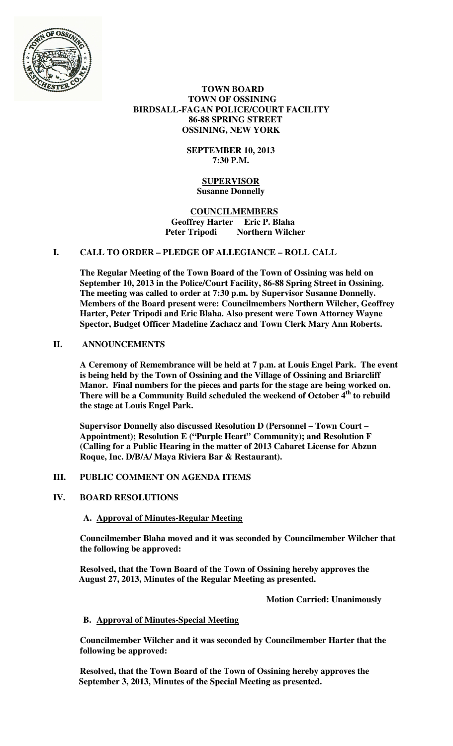

## **TOWN BOARD TOWN OF OSSINING BIRDSALL-FAGAN POLICE/COURT FACILITY 86-88 SPRING STREET OSSINING, NEW YORK**

## **SEPTEMBER 10, 2013 7:30 P.M.**

## **SUPERVISOR Susanne Donnelly**

### **COUNCILMEMBERS Geoffrey Harter Eric P. Blaha Northern Wilcher**

## **I. CALL TO ORDER – PLEDGE OF ALLEGIANCE – ROLL CALL**

**The Regular Meeting of the Town Board of the Town of Ossining was held on September 10, 2013 in the Police/Court Facility, 86-88 Spring Street in Ossining. The meeting was called to order at 7:30 p.m. by Supervisor Susanne Donnelly. Members of the Board present were: Councilmembers Northern Wilcher, Geoffrey Harter, Peter Tripodi and Eric Blaha. Also present were Town Attorney Wayne Spector, Budget Officer Madeline Zachacz and Town Clerk Mary Ann Roberts.** 

## **II. ANNOUNCEMENTS**

**A Ceremony of Remembrance will be held at 7 p.m. at Louis Engel Park. The event is being held by the Town of Ossining and the Village of Ossining and Briarcliff Manor. Final numbers for the pieces and parts for the stage are being worked on. There will be a Community Build scheduled the weekend of October 4th to rebuild the stage at Louis Engel Park.** 

**Supervisor Donnelly also discussed Resolution D (Personnel – Town Court – Appointment); Resolution E ("Purple Heart" Community); and Resolution F (Calling for a Public Hearing in the matter of 2013 Cabaret License for Abzun Roque, Inc. D/B/A/ Maya Riviera Bar & Restaurant).** 

## **III. PUBLIC COMMENT ON AGENDA ITEMS**

## **IV. BOARD RESOLUTIONS**

# **A. Approval of Minutes-Regular Meeting**

**Councilmember Blaha moved and it was seconded by Councilmember Wilcher that the following be approved:** 

**Resolved, that the Town Board of the Town of Ossining hereby approves the August 27, 2013, Minutes of the Regular Meeting as presented.** 

 **Motion Carried: Unanimously** 

## **B. Approval of Minutes-Special Meeting**

**Councilmember Wilcher and it was seconded by Councilmember Harter that the following be approved:** 

**Resolved, that the Town Board of the Town of Ossining hereby approves the September 3, 2013, Minutes of the Special Meeting as presented.**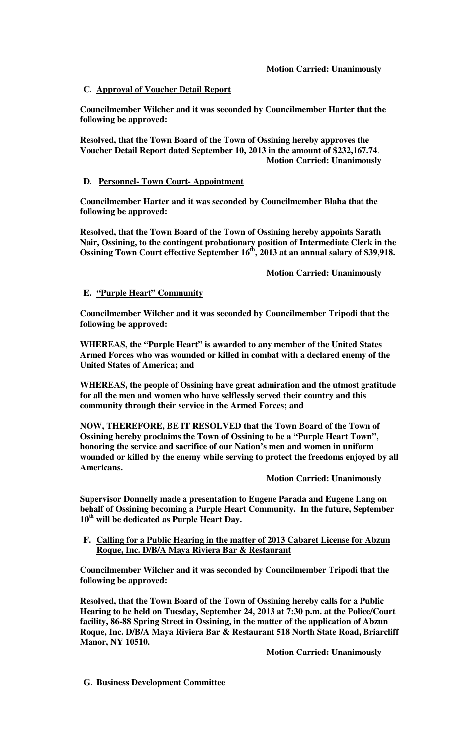### **C. Approval of Voucher Detail Report**

**Councilmember Wilcher and it was seconded by Councilmember Harter that the following be approved:** 

**Resolved, that the Town Board of the Town of Ossining hereby approves the Voucher Detail Report dated September 10, 2013 in the amount of \$232,167.74**.  **Motion Carried: Unanimously** 

#### **D. Personnel- Town Court- Appointment**

**Councilmember Harter and it was seconded by Councilmember Blaha that the following be approved:** 

**Resolved, that the Town Board of the Town of Ossining hereby appoints Sarath Nair, Ossining, to the contingent probationary position of Intermediate Clerk in the Ossining Town Court effective September 16th, 2013 at an annual salary of \$39,918.** 

 **Motion Carried: Unanimously** 

### **E. "Purple Heart" Community**

**Councilmember Wilcher and it was seconded by Councilmember Tripodi that the following be approved:** 

**WHEREAS, the "Purple Heart" is awarded to any member of the United States Armed Forces who was wounded or killed in combat with a declared enemy of the United States of America; and**

**WHEREAS, the people of Ossining have great admiration and the utmost gratitude for all the men and women who have selflessly served their country and this community through their service in the Armed Forces; and** 

**NOW, THEREFORE, BE IT RESOLVED that the Town Board of the Town of Ossining hereby proclaims the Town of Ossining to be a "Purple Heart Town", honoring the service and sacrifice of our Nation's men and women in uniform wounded or killed by the enemy while serving to protect the freedoms enjoyed by all Americans.** 

#### **Motion Carried: Unanimously**

**Supervisor Donnelly made a presentation to Eugene Parada and Eugene Lang on behalf of Ossining becoming a Purple Heart Community. In the future, September 10th will be dedicated as Purple Heart Day.** 

### **F. Calling for a Public Hearing in the matter of 2013 Cabaret License for Abzun Roque, Inc. D/B/A Maya Riviera Bar & Restaurant**

**Councilmember Wilcher and it was seconded by Councilmember Tripodi that the following be approved:** 

**Resolved, that the Town Board of the Town of Ossining hereby calls for a Public Hearing to be held on Tuesday, September 24, 2013 at 7:30 p.m. at the Police/Court facility, 86-88 Spring Street in Ossining, in the matter of the application of Abzun Roque, Inc. D/B/A Maya Riviera Bar & Restaurant 518 North State Road, Briarcliff Manor, NY 10510.** 

 **Motion Carried: Unanimously** 

**G. Business Development Committee**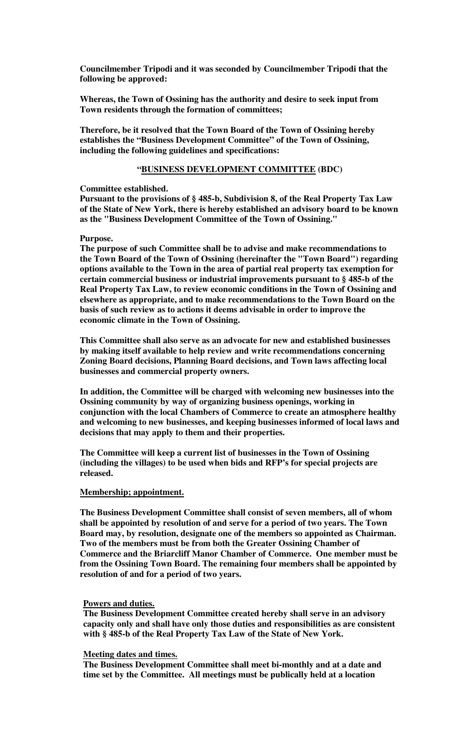**Councilmember Tripodi and it was seconded by Councilmember Tripodi that the following be approved:** 

**Whereas, the Town of Ossining has the authority and desire to seek input from Town residents through the formation of committees;** 

**Therefore, be it resolved that the Town Board of the Town of Ossining hereby establishes the "Business Development Committee" of the Town of Ossining, including the following guidelines and specifications:** 

#### **"BUSINESS DEVELOPMENT COMMITTEE (BDC)**

#### **Committee established.**

**Pursuant to the provisions of § 485-b, Subdivision 8, of the Real Property Tax Law of the State of New York, there is hereby established an advisory board to be known as the "Business Development Committee of the Town of Ossining."** 

### **Purpose.**

**The purpose of such Committee shall be to advise and make recommendations to the Town Board of the Town of Ossining (hereinafter the "Town Board") regarding options available to the Town in the area of partial real property tax exemption for certain commercial business or industrial improvements pursuant to § 485-b of the Real Property Tax Law, to review economic conditions in the Town of Ossining and elsewhere as appropriate, and to make recommendations to the Town Board on the basis of such review as to actions it deems advisable in order to improve the economic climate in the Town of Ossining.** 

**This Committee shall also serve as an advocate for new and established businesses by making itself available to help review and write recommendations concerning Zoning Board decisions, Planning Board decisions, and Town laws affecting local businesses and commercial property owners.** 

**In addition, the Committee will be charged with welcoming new businesses into the Ossining community by way of organizing business openings, working in conjunction with the local Chambers of Commerce to create an atmosphere healthy and welcoming to new businesses, and keeping businesses informed of local laws and decisions that may apply to them and their properties.** 

**The Committee will keep a current list of businesses in the Town of Ossining (including the villages) to be used when bids and RFP's for special projects are released.** 

#### **Membership; appointment.**

**The Business Development Committee shall consist of seven members, all of whom shall be appointed by resolution of and serve for a period of two years. The Town Board may, by resolution, designate one of the members so appointed as Chairman. Two of the members must be from both the Greater Ossining Chamber of Commerce and the Briarcliff Manor Chamber of Commerce. One member must be from the Ossining Town Board. The remaining four members shall be appointed by resolution of and for a period of two years.** 

#### **Powers and duties.**

**The Business Development Committee created hereby shall serve in an advisory capacity only and shall have only those duties and responsibilities as are consistent with § 485-b of the Real Property Tax Law of the State of New York.** 

### **Meeting dates and times.**

**The Business Development Committee shall meet bi-monthly and at a date and time set by the Committee. All meetings must be publically held at a location**